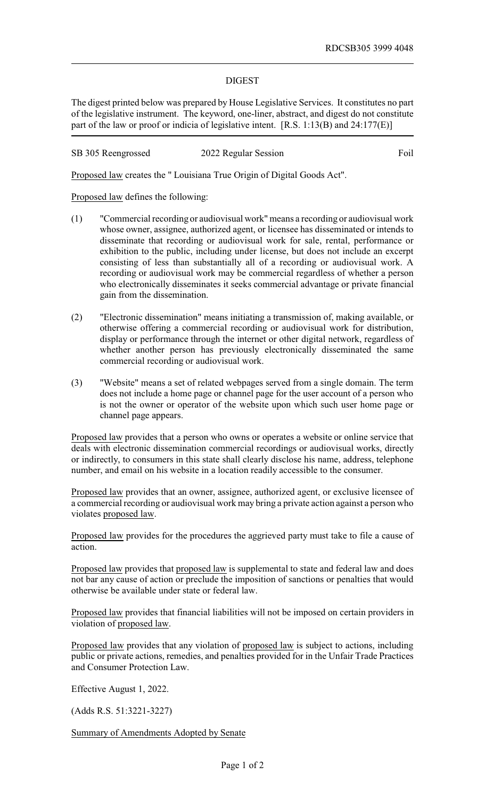## DIGEST

The digest printed below was prepared by House Legislative Services. It constitutes no part of the legislative instrument. The keyword, one-liner, abstract, and digest do not constitute part of the law or proof or indicia of legislative intent. [R.S. 1:13(B) and 24:177(E)]

SB 305 Reengrossed 2022 Regular Session Foil

Proposed law creates the " Louisiana True Origin of Digital Goods Act".

Proposed law defines the following:

- (1) "Commercial recording or audiovisual work" means a recording or audiovisual work whose owner, assignee, authorized agent, or licensee has disseminated or intends to disseminate that recording or audiovisual work for sale, rental, performance or exhibition to the public, including under license, but does not include an excerpt consisting of less than substantially all of a recording or audiovisual work. A recording or audiovisual work may be commercial regardless of whether a person who electronically disseminates it seeks commercial advantage or private financial gain from the dissemination.
- (2) "Electronic dissemination" means initiating a transmission of, making available, or otherwise offering a commercial recording or audiovisual work for distribution, display or performance through the internet or other digital network, regardless of whether another person has previously electronically disseminated the same commercial recording or audiovisual work.
- (3) "Website" means a set of related webpages served from a single domain. The term does not include a home page or channel page for the user account of a person who is not the owner or operator of the website upon which such user home page or channel page appears.

Proposed law provides that a person who owns or operates a website or online service that deals with electronic dissemination commercial recordings or audiovisual works, directly or indirectly, to consumers in this state shall clearly disclose his name, address, telephone number, and email on his website in a location readily accessible to the consumer.

Proposed law provides that an owner, assignee, authorized agent, or exclusive licensee of a commercial recording or audiovisual work may bring a private action against a person who violates proposed law.

Proposed law provides for the procedures the aggrieved party must take to file a cause of action.

Proposed law provides that proposed law is supplemental to state and federal law and does not bar any cause of action or preclude the imposition of sanctions or penalties that would otherwise be available under state or federal law.

Proposed law provides that financial liabilities will not be imposed on certain providers in violation of proposed law.

Proposed law provides that any violation of proposed law is subject to actions, including public or private actions, remedies, and penalties provided for in the Unfair Trade Practices and Consumer Protection Law.

Effective August 1, 2022.

(Adds R.S. 51:3221-3227)

Summary of Amendments Adopted by Senate